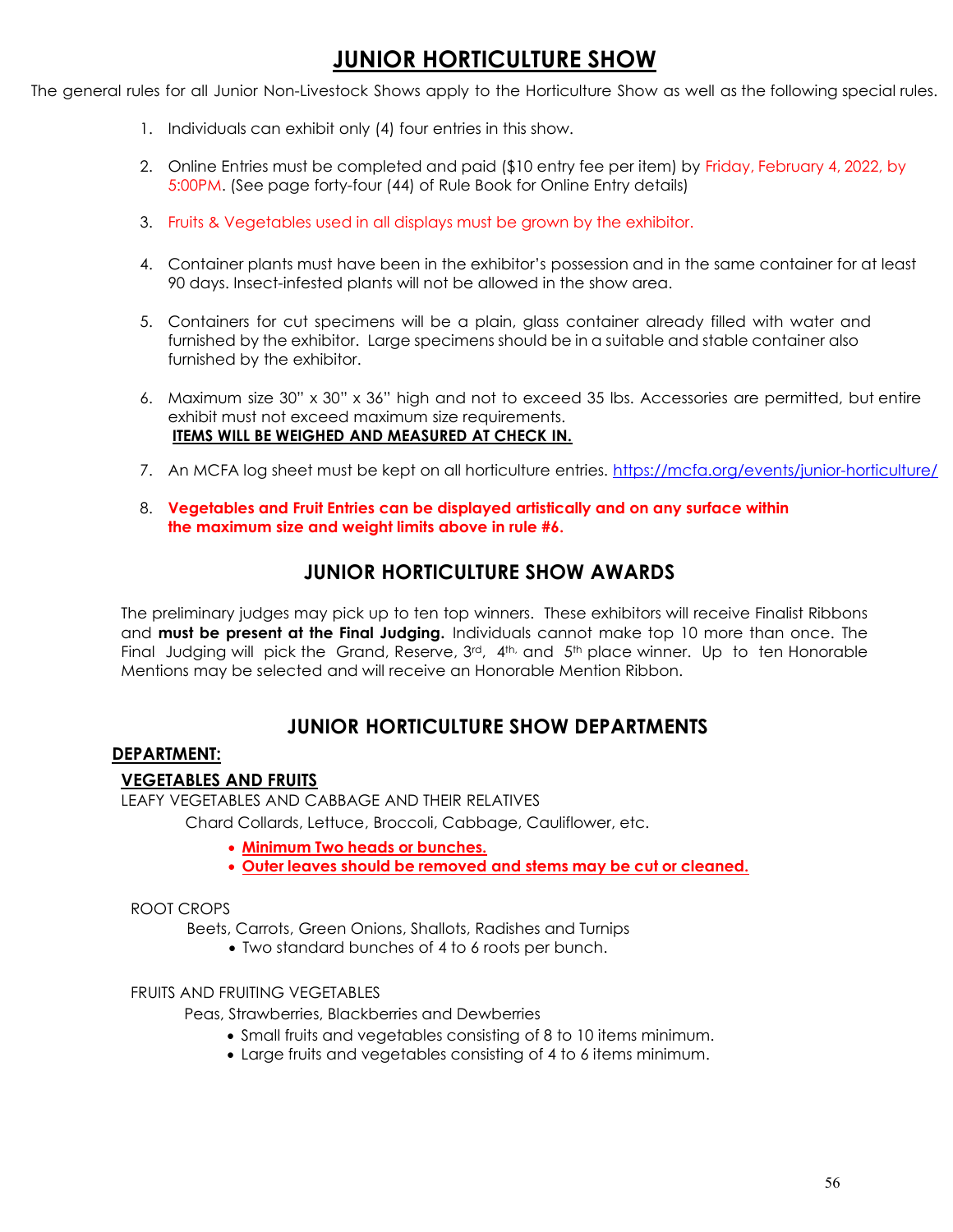# JUNIOR HORTICULTURE SHOW

The general rules for all Junior Non-Livestock Shows apply to the Horticulture Show as well as the following special rules.

- 1. Individuals can exhibit only (4) four entries in this show.
- 2. Online Entries must be completed and paid (\$10 entry fee per item) by Friday, February 4, 2022, by 5:00PM. (See page forty-four (44) of Rule Book for Online Entry details)
- 3. Fruits & Vegetables used in all displays must be grown by the exhibitor.
- 4. Container plants must have been in the exhibitor's possession and in the same container for at least 90 days. Insect-infested plants will not be allowed in the show area.
- 5. Containers for cut specimens will be a plain, glass container already filled with water and furnished by the exhibitor. Large specimens should be in a suitable and stable container also furnished by the exhibitor.
- 6. Maximum size 30" x 30" x 36" high and not to exceed 35 lbs. Accessories are permitted, but entire exhibit must not exceed maximum size requirements. ITEMS WILL BE WEIGHED AND MEASURED AT CHECK IN.
- 7. An MCFA log sheet must be kept on all horticulture entries. https://mcfa.org/events/junior-horticulture/
- 8. Vegetables and Fruit Entries can be displayed artistically and on any surface within the maximum size and weight limits above in rule #6.

## JUNIOR HORTICULTURE SHOW AWARDS

The preliminary judges may pick up to ten top winners. These exhibitors will receive Finalist Ribbons and must be present at the Final Judging. Individuals cannot make top 10 more than once. The Final Judaing will pick the Grand, Reserve,  $3^{rd}$ ,  $4^{th}$ , and  $5^{th}$  place winner. Up to ten Honorable Mentions may be selected and will receive an Honorable Mention Ribbon.

# JUNIOR HORTICULTURE SHOW DEPARTMENTS

### DEPARTMENT:

### VEGETABLES AND FRUITS

LEAFY VEGETABLES AND CABBAGE AND THEIR RELATIVES

Chard Collards, Lettuce, Broccoli, Cabbage, Cauliflower, etc.

- Minimum Two heads or bunches.
- Outer leaves should be removed and stems may be cut or cleaned.

#### ROOT CROPS

Beets, Carrots, Green Onions, Shallots, Radishes and Turnips

Two standard bunches of 4 to 6 roots per bunch.

### FRUITS AND FRUITING VEGETABLES

Peas, Strawberries, Blackberries and Dewberries

- Small fruits and vegetables consisting of 8 to 10 items minimum.
- Large fruits and vegetables consisting of 4 to 6 items minimum.